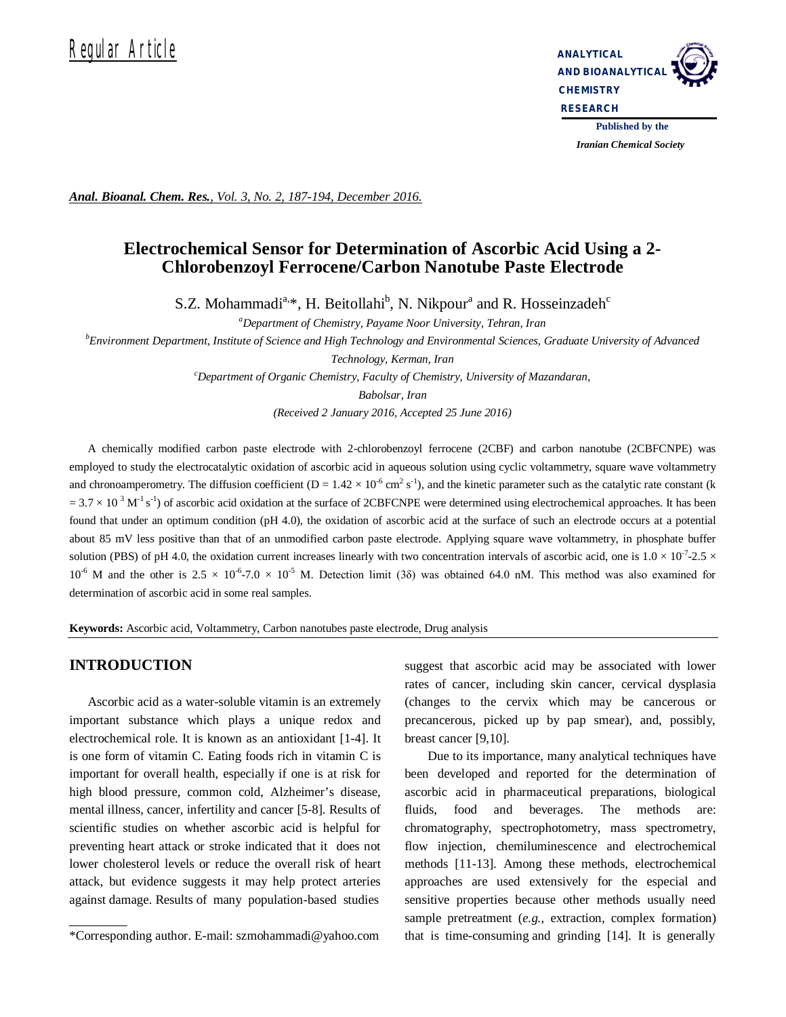# Requiar Article **Analytical**



*Iranian Chemical Society* 

*Anal. Bioanal. Chem. Res., Vol. 3, No. 2, 187-194, December 2016.*

## **Electrochemical Sensor for Determination of Ascorbic Acid Using a 2- Chlorobenzoyl Ferrocene/Carbon Nanotube Paste Electrode**

S.Z. Mohammadi<sup>a,\*</sup>, H. Beitollahi<sup>b</sup>, N. Nikpour<sup>a</sup> and R. Hosseinzadeh<sup>c</sup>

*<sup>a</sup>Department of Chemistry, Payame Noor University, Tehran, Iran*

*<sup>b</sup>Environment Department, Institute of Science and High Technology and Environmental Sciences, Graduate University of Advanced* 

*Technology, Kerman, Iran <sup>c</sup>Department of Organic Chemistry, Faculty of Chemistry, University of Mazandaran, Babolsar, Iran*

*(Received 2 January 2016, Accepted 25 June 2016)*

A chemically modified carbon paste electrode with 2-chlorobenzoyl ferrocene (2CBF) and carbon nanotube (2CBFCNPE) was employed to study the electrocatalytic oxidation of ascorbic acid in aqueous solution using cyclic voltammetry, square wave voltammetry and chronoamperometry. The diffusion coefficient ( $D = 1.42 \times 10^{-6}$  cm<sup>2</sup> s<sup>-1</sup>), and the kinetic parameter such as the catalytic rate constant (k  $= 3.7 \times 10^{-3}$  M<sup>-1</sup> s<sup>-1</sup>) of ascorbic acid oxidation at the surface of 2CBFCNPE were determined using electrochemical approaches. It has been found that under an optimum condition (pH 4.0), the oxidation of ascorbic acid at the surface of such an electrode occurs at a potential about 85 mV less positive than that of an unmodified carbon paste electrode. Applying square wave voltammetry, in phosphate buffer solution (PBS) of pH 4.0, the oxidation current increases linearly with two concentration intervals of ascorbic acid, one is  $1.0 \times 10^{-7}$ -2.5  $\times$  $10^{-6}$  M and the other is  $2.5 \times 10^{-6}$ -7.0  $\times$  10<sup>-5</sup> M. Detection limit (3 $\delta$ ) was obtained 64.0 nM. This method was also examined for determination of ascorbic acid in some real samples.

**Keywords:** Ascorbic acid, Voltammetry, Carbon nanotubes paste electrode, Drug analysis

## **INTRODUCTION**

Ascorbic acid as a water-soluble vitamin is an extremely important substance which plays a unique redox and electrochemical role. It is known as an antioxidant [1-4]. It is one form of vitamin C. Eating foods rich in vitamin C is important for overall health, especially if one is at risk for high blood pressure, common cold, Alzheimer's disease, mental illness, cancer, infertility and cancer [5-8]. Results of scientific studies on whether ascorbic acid is helpful for preventing heart attack or stroke indicated that it does not lower cholesterol levels or reduce the overall risk of heart attack, but evidence suggests it may help protect arteries against damage. Results of many population-based studies

suggest that ascorbic acid may be associated with lower rates of cancer, including skin cancer, cervical dysplasia (changes to the cervix which may be cancerous or precancerous, picked up by pap smear), and, possibly, breast cancer [9,10].

Due to its importance, many analytical techniques have been developed and reported for the determination of ascorbic acid in pharmaceutical preparations, biological fluids, food and beverages. The methods are: chromatography, spectrophotometry, mass spectrometry, flow injection, chemiluminescence and electrochemical methods [11-13]. Among these methods, electrochemical approaches are used extensively for the especial and sensitive properties because other methods usually need sample pretreatment (*e.g.*, extraction, complex formation) that is time-consuming and grinding [14]. It is generally

<sup>\*</sup>Corresponding author. E-mail: szmohammadi@yahoo.com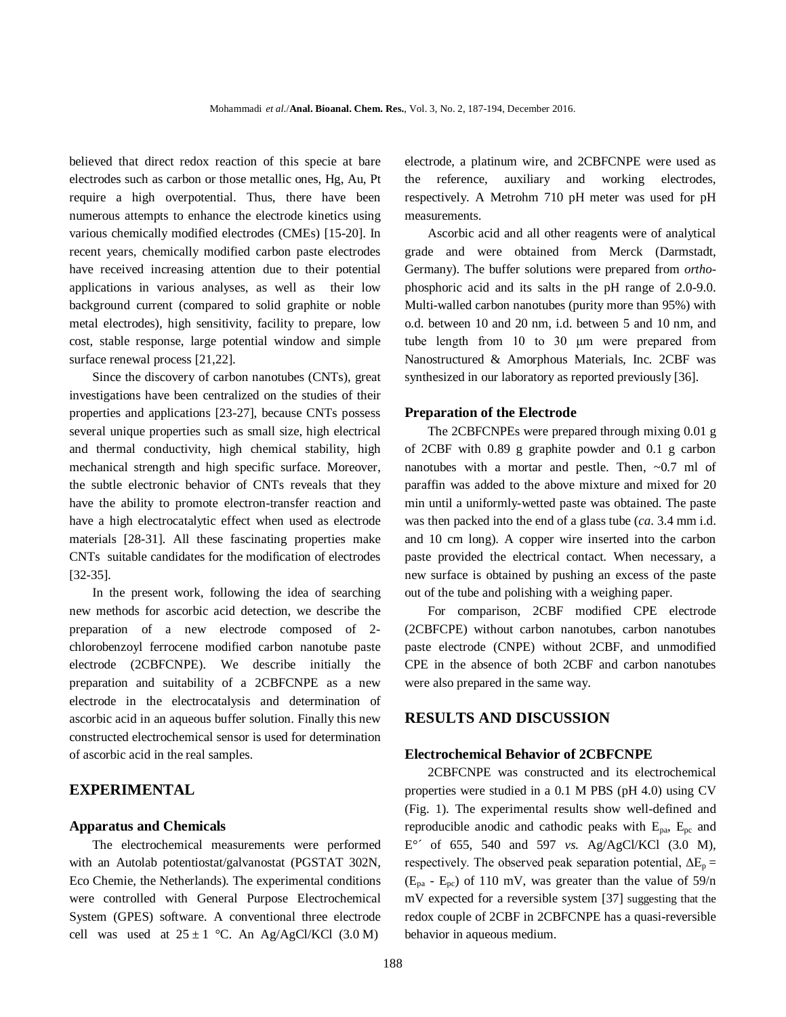believed that direct redox reaction of this specie at bare electrodes such as carbon or those metallic ones, Hg, Au, Pt require a high overpotential. Thus, there have been numerous attempts to enhance the electrode kinetics using various chemically modified electrodes (CMEs) [15-20]. In recent years, chemically modified carbon paste electrodes have received increasing attention due to their potential applications in various analyses, as well as their low background current (compared to solid graphite or noble metal electrodes), high sensitivity, facility to prepare, low cost, stable response, large potential window and simple surface renewal process [21,22].

Since the discovery of carbon nanotubes (CNTs), great investigations have been centralized on the studies of their properties and applications [23-27], because CNTs possess several unique properties such as small size, high electrical and thermal conductivity, high chemical stability, high mechanical strength and high specific surface. Moreover, the subtle electronic behavior of CNTs reveals that they have the ability to promote electron-transfer reaction and have a high electrocatalytic effect when used as electrode materials [28-31]. All these fascinating properties make CNTs suitable candidates for the modification of electrodes [32-35].

In the present work, following the idea of searching new methods for ascorbic acid detection, we describe the preparation of a new electrode composed of 2 chlorobenzoyl ferrocene modified carbon nanotube paste electrode (2CBFCNPE). We describe initially the preparation and suitability of a 2CBFCNPE as a new electrode in the electrocatalysis and determination of ascorbic acid in an aqueous buffer solution. Finally this new constructed electrochemical sensor is used for determination of ascorbic acid in the real samples.

## **EXPERIMENTAL**

#### **Apparatus and Chemicals**

The electrochemical measurements were performed with an Autolab potentiostat/galvanostat (PGSTAT 302N, Eco Chemie, the Netherlands). The experimental conditions were controlled with General Purpose Electrochemical System (GPES) software. A conventional three electrode cell was used at  $25 \pm 1$  °C. An Ag/AgCl/KCl (3.0 M)

electrode, a platinum wire, and 2CBFCNPE were used as the reference, auxiliary and working electrodes, respectively. A Metrohm 710 pH meter was used for pH measurements.

Ascorbic acid and all other reagents were of analytical grade and were obtained from Merck (Darmstadt, Germany). The buffer solutions were prepared from *ortho*phosphoric acid and its salts in the pH range of 2.0-9.0. Multi-walled carbon nanotubes (purity more than 95%) with o.d. between 10 and 20 nm, i.d. between 5 and 10 nm, and tube length from 10 to 30 μm were prepared from Nanostructured & Amorphous Materials, Inc. 2CBF was synthesized in our laboratory as reported previously [36].

#### **Preparation of the Electrode**

The 2CBFCNPEs were prepared through mixing 0.01 g of 2CBF with 0.89 g graphite powder and 0.1 g carbon nanotubes with a mortar and pestle. Then,  $\sim 0.7$  ml of paraffin was added to the above mixture and mixed for 20 min until a uniformly-wetted paste was obtained. The paste was then packed into the end of a glass tube (*ca*. 3.4 mm i.d. and 10 cm long). A copper wire inserted into the carbon paste provided the electrical contact. When necessary, a new surface is obtained by pushing an excess of the paste out of the tube and polishing with a weighing paper.

For comparison, 2CBF modified CPE electrode (2CBFCPE) without carbon nanotubes, carbon nanotubes paste electrode (CNPE) without 2CBF, and unmodified CPE in the absence of both 2CBF and carbon nanotubes were also prepared in the same way.

#### **RESULTS AND DISCUSSION**

#### **Electrochemical Behavior of 2CBFCNPE**

2CBFCNPE was constructed and its electrochemical properties were studied in a 0.1 M PBS (pH 4.0) using CV (Fig. 1). The experimental results show well-defined and reproducible anodic and cathodic peaks with  $E_{pa}$ ,  $E_{pc}$  and E°´ of 655, 540 and 597 *vs*. Ag/AgCl/KCl (3.0 M), respectively. The observed peak separation potential,  $\Delta E_p =$  $(E_{pa} - E_{pc})$  of 110 mV, was greater than the value of 59/n mV expected for a reversible system [37] suggesting that the redox couple of 2CBF in 2CBFCNPE has a quasi-reversible behavior in aqueous medium.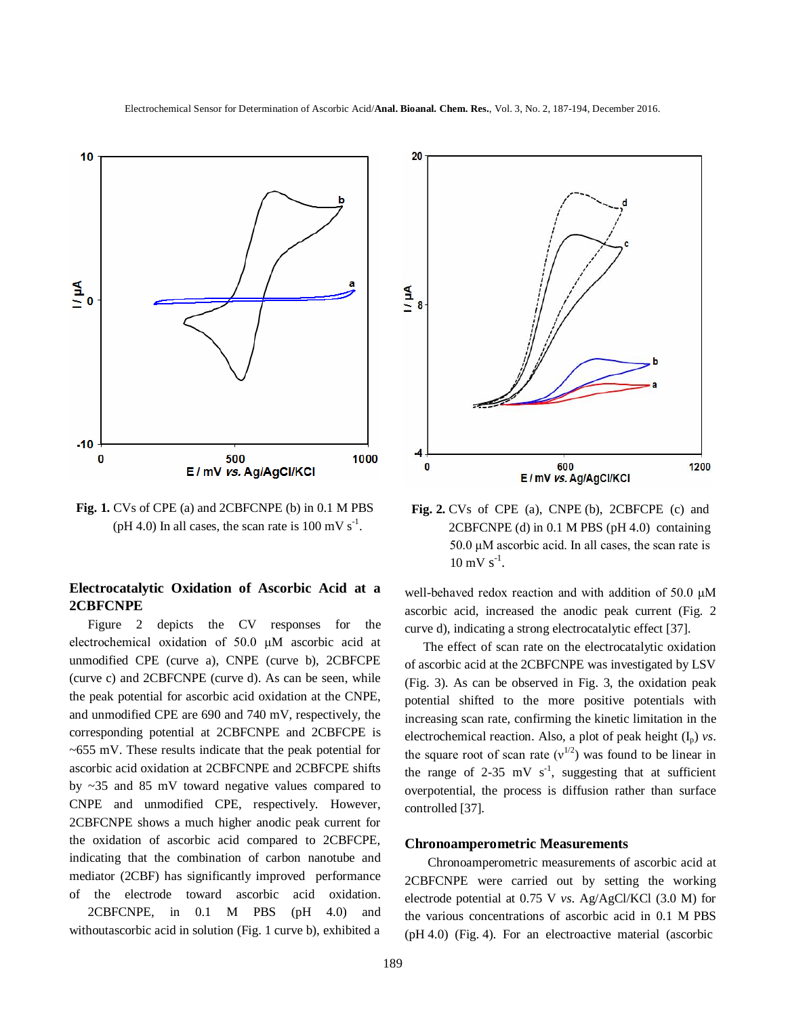

**Fig. 1.** CVs of CPE (a) and 2CBFCNPE (b) in 0.1 M PBS (pH 4.0) In all cases, the scan rate is  $100 \text{ mV s}^{-1}$ .

## **Electrocatalytic Oxidation of Ascorbic Acid at a 2CBFCNPE**

Figure 2 depicts the CV responses for the electrochemical oxidation of 50.0 μM ascorbic acid at unmodified CPE (curve a), CNPE (curve b), 2CBFCPE (curve c) and 2CBFCNPE (curve d). As can be seen, while the peak potential for ascorbic acid oxidation at the CNPE, and unmodified CPE are 690 and 740 mV, respectively, the corresponding potential at 2CBFCNPE and 2CBFCPE is  $\sim$  655 mV. These results indicate that the peak potential for ascorbic acid oxidation at 2CBFCNPE and 2CBFCPE shifts by ~35 and 85 mV toward negative values compared to CNPE and unmodified CPE, respectively. However, 2CBFCNPE shows a much higher anodic peak current for the oxidation of ascorbic acid compared to 2CBFCPE, indicating that the combination of carbon nanotube and mediator (2CBF) has significantly improved performance of the electrode toward ascorbic acid oxidation. 2CBFCNPE, in 0.1 M PBS (pH 4.0) and withoutascorbic acid in solution (Fig. 1 curve b), exhibited a

189



**Fig. 2.** CVs of CPE (a), CNPE (b), 2CBFCPE (c) and 2CBFCNPE (d) in 0.1 M PBS (pH 4.0) containing 50.0 μM ascorbic acid. In all cases, the scan rate is  $10 \text{ mV s}^{-1}$ .

well-behaved redox reaction and with addition of 50.0 μM ascorbic acid, increased the anodic peak current (Fig. 2 curve d), indicating a strong electrocatalytic effect [37].

The effect of scan rate on the electrocatalytic oxidation of ascorbic acid at the 2CBFCNPE was investigated by LSV (Fig. 3). As can be observed in Fig. 3, the oxidation peak potential shifted to the more positive potentials with increasing scan rate, confirming the kinetic limitation in the electrochemical reaction. Also, a plot of peak height  $(I_p)$  *vs.* the square root of scan rate  $(v^{1/2})$  was found to be linear in the range of 2-35 mV  $s^{-1}$ , suggesting that at sufficient overpotential, the process is diffusion rather than surface controlled [37].

#### **Chronoamperometric Measurements**

Chronoamperometric measurements of ascorbic acid at 2CBFCNPE were carried out by setting the working electrode potential at 0.75 V *vs*. Ag/AgCl/KCl (3.0 M) for the various concentrations of ascorbic acid in 0.1 M PBS (pH 4.0) (Fig. 4). For an electroactive material (ascorbic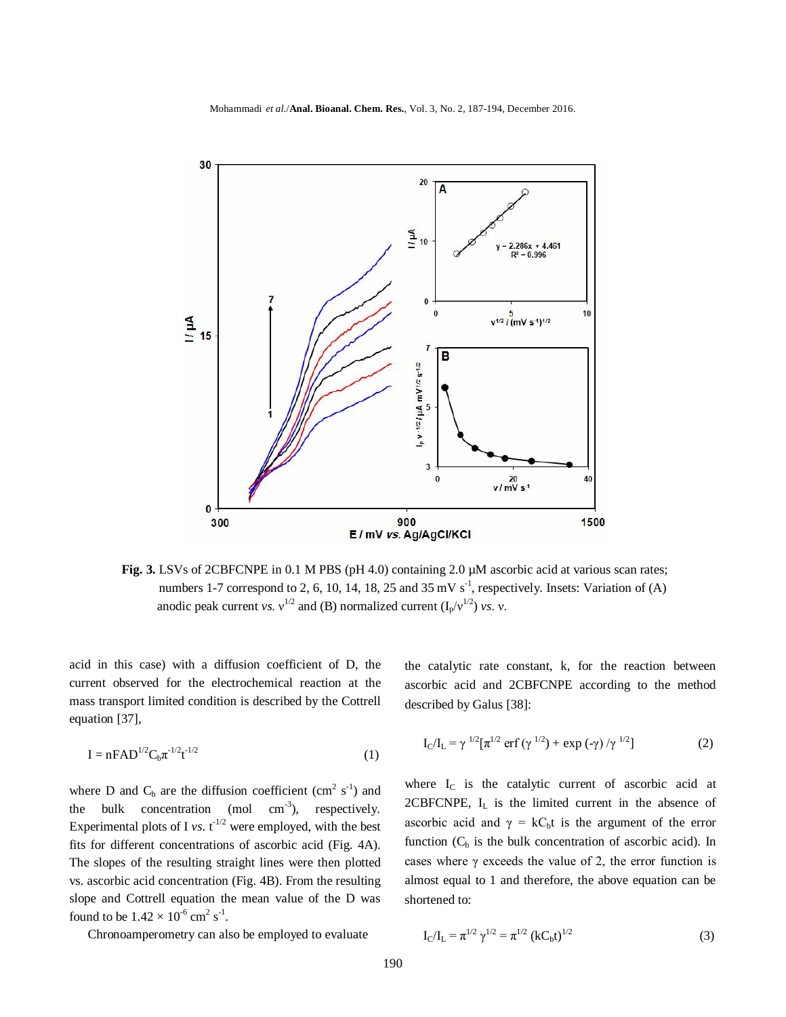

**Fig. 3.** LSVs of 2CBFCNPE in 0.1 M PBS (pH 4.0) containing 2.0 µM ascorbic acid at various scan rates; numbers 1-7 correspond to 2, 6, 10, 14, 18, 25 and 35 mV  $s^{-1}$ , respectively. Insets: Variation of (A) anodic peak current *vs*.  $v^{1/2}$  and (B) normalized current (I<sub>p</sub>/ $v^{1/2}$ ) *vs*. *v*.

acid in this case) with a diffusion coefficient of D, the current observed for the electrochemical reaction at the mass transport limited condition is described by the Cottrell equation [37],

$$
I = nFAD^{1/2}C_b\pi^{-1/2}t^{-1/2}
$$
 (1)

where D and  $C_b$  are the diffusion coefficient (cm<sup>2</sup> s<sup>-1</sup>) and the bulk concentration (mol  $cm^{-3}$ ), respectively. Experimental plots of I *vs*.  $t^{-1/2}$  were employed, with the best fits for different concentrations of ascorbic acid (Fig. 4A). The slopes of the resulting straight lines were then plotted vs. ascorbic acid concentration (Fig. 4B). From the resulting slope and Cottrell equation the mean value of the D was found to be  $1.42 \times 10^{-6}$  cm<sup>2</sup> s<sup>-1</sup>.

Chronoamperometry can also be employed to evaluate

the catalytic rate constant, k, for the reaction between ascorbic acid and 2CBFCNPE according to the method described by Galus [38]:

$$
I_C/I_L = \gamma^{1/2} [\pi^{1/2} \operatorname{erf} (\gamma^{1/2}) + \exp (-\gamma) / \gamma^{1/2}]
$$
 (2)

where  $I_c$  is the catalytic current of ascorbic acid at 2CBFCNPE,  $I_L$  is the limited current in the absence of ascorbic acid and  $\gamma = kC_b t$  is the argument of the error function  $(C_b)$  is the bulk concentration of ascorbic acid). In cases where  $\gamma$  exceeds the value of 2, the error function is almost equal to 1 and therefore, the above equation can be shortened to:

$$
I_C/I_L = \pi^{1/2} \gamma^{1/2} = \pi^{1/2} (kC_b t)^{1/2}
$$
 (3)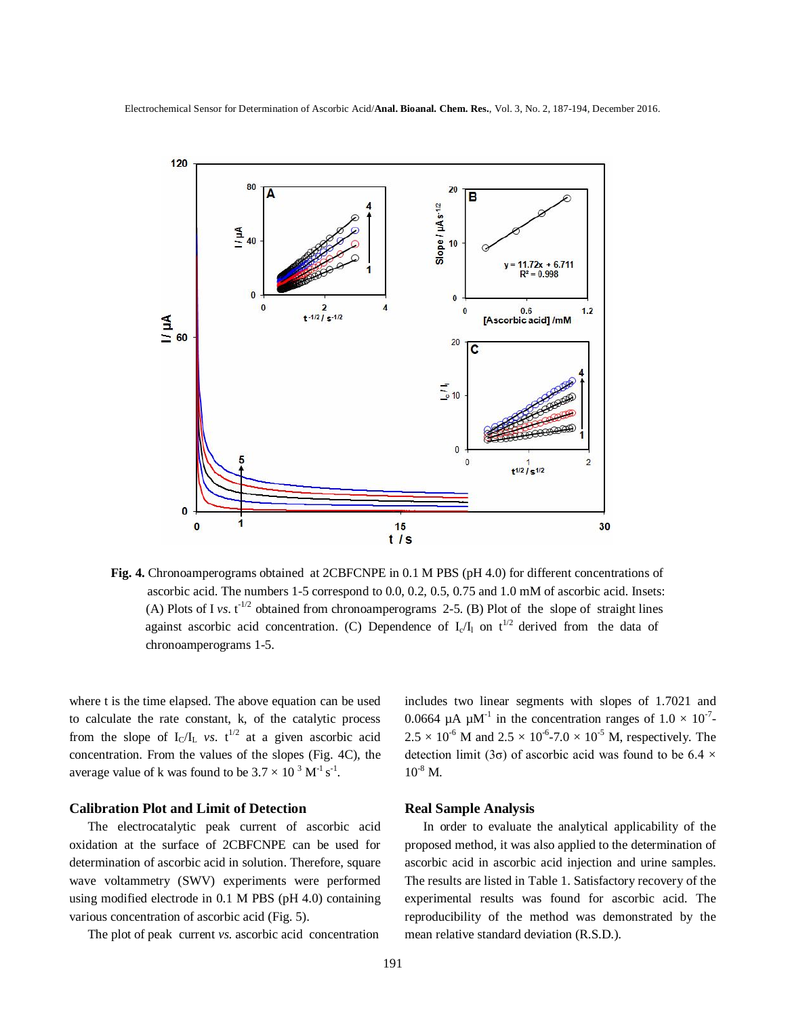Electrochemical Sensor for Determination of Ascorbic Acid/**Anal. Bioanal. Chem. Res.**, Vol. 3, No. 2, 187-194, December 2016.



**Fig. 4.** Chronoamperograms obtained at 2CBFCNPE in 0.1 M PBS (pH 4.0) for different concentrations of ascorbic acid. The numbers 1-5 correspond to 0.0, 0.2, 0.5, 0.75 and 1.0 mM of ascorbic acid. Insets: (A) Plots of I *vs*.  $t^{-1/2}$  obtained from chronoamperograms 2-5. (B) Plot of the slope of straight lines against ascorbic acid concentration. (C) Dependence of  $I_c/I_1$  on  $t^{1/2}$  derived from the data of chronoamperograms 1-5.

where t is the time elapsed. The above equation can be used to calculate the rate constant, k, of the catalytic process from the slope of  $I_C/I_L$  *vs.*  $t^{1/2}$  at a given ascorbic acid concentration. From the values of the slopes (Fig. 4C), the average value of k was found to be  $3.7 \times 10^{-3} \text{ M}^{\text{-1}} \text{s}^{\text{-1}}$ .

#### **Calibration Plot and Limit of Detection**

The electrocatalytic peak current of ascorbic acid oxidation at the surface of 2CBFCNPE can be used for determination of ascorbic acid in solution. Therefore, square wave voltammetry (SWV) experiments were performed using modified electrode in 0.1 M PBS (pH 4.0) containing various concentration of ascorbic acid (Fig. 5).

The plot of peak current *vs*. ascorbic acid concentration

includes two linear segments with slopes of 1.7021 and 0.0664  $\mu$ A  $\mu$ M<sup>-1</sup> in the concentration ranges of  $1.0 \times 10^{-7}$ - $2.5 \times 10^{-6}$  M and  $2.5 \times 10^{-6}$ -7.0  $\times 10^{-5}$  M, respectively. The detection limit (3 $\sigma$ ) of ascorbic acid was found to be 6.4  $\times$  $10^{8}$  M.

## **Real Sample Analysis**

In order to evaluate the analytical applicability of the proposed method, it was also applied to the determination of ascorbic acid in ascorbic acid injection and urine samples. The results are listed in Table 1. Satisfactory recovery of the experimental results was found for ascorbic acid. The reproducibility of the method was demonstrated by the mean relative standard deviation (R.S.D.).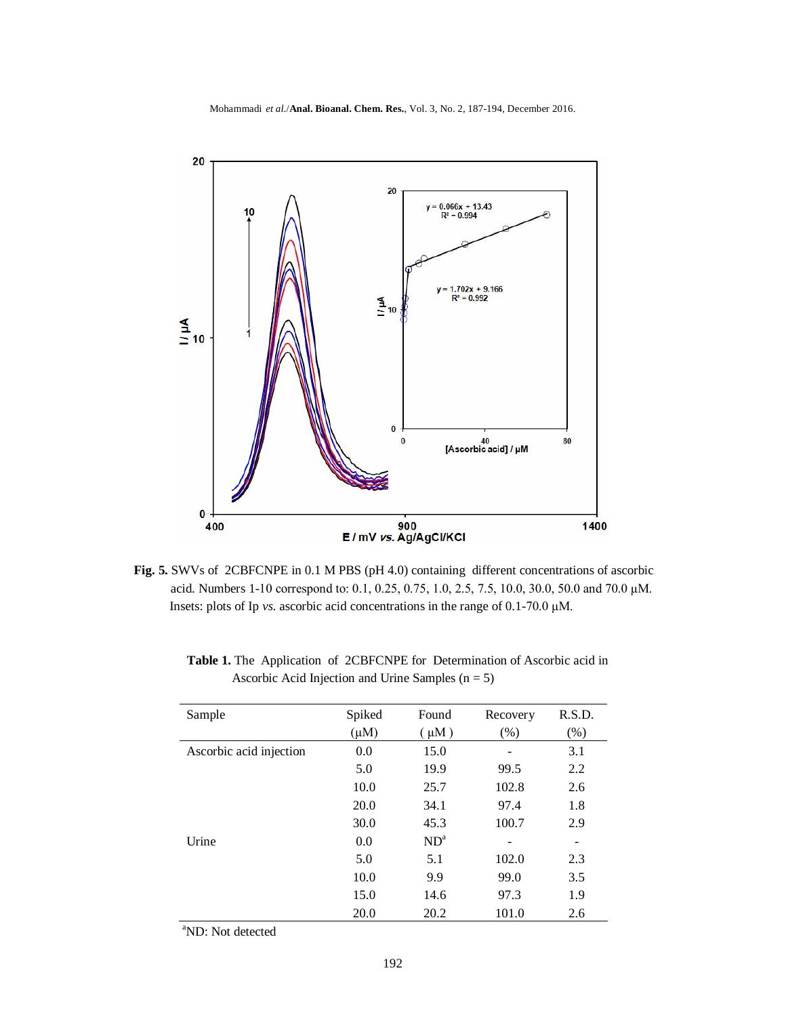Mohammadi *et al*./**Anal. Bioanal. Chem. Res.**, Vol. 3, No. 2, 187-194, December 2016.



**Fig. 5.** SWVs of 2CBFCNPE in 0.1 M PBS (pH 4.0) containing different concentrations of ascorbic acid. Numbers 1-10 correspond to: 0.1, 0.25, 0.75, 1.0, 2.5, 7.5, 10.0, 30.0, 50.0 and 70.0 μM. Insets: plots of Ip *vs*. ascorbic acid concentrations in the range of 0.1-70.0 μM.

| Sample                  | Spiked    | Found     | Recovery | R.S.D. |
|-------------------------|-----------|-----------|----------|--------|
|                         | $(\mu M)$ | $(\mu M)$ | (% )     | (% )   |
| Ascorbic acid injection | 0.0       | 15.0      |          | 3.1    |
|                         | 5.0       | 19.9      | 99.5     | 2.2    |
|                         | 10.0      | 25.7      | 102.8    | 2.6    |
|                         | 20.0      | 34.1      | 97.4     | 1.8    |
|                         | 30.0      | 45.3      | 100.7    | 2.9    |
| Urine                   | 0.0       | $ND^a$    |          |        |
|                         | 5.0       | 5.1       | 102.0    | 2.3    |
|                         | 10.0      | 9.9       | 99.0     | 3.5    |
|                         | 15.0      | 14.6      | 97.3     | 1.9    |
|                         | 20.0      | 20.2      | 101.0    | 2.6    |

 **Table 1.** The Application of 2CBFCNPE for Determination of Ascorbic acid in Ascorbic Acid Injection and Urine Samples  $(n = 5)$ 

<sup>a</sup>ND: Not detected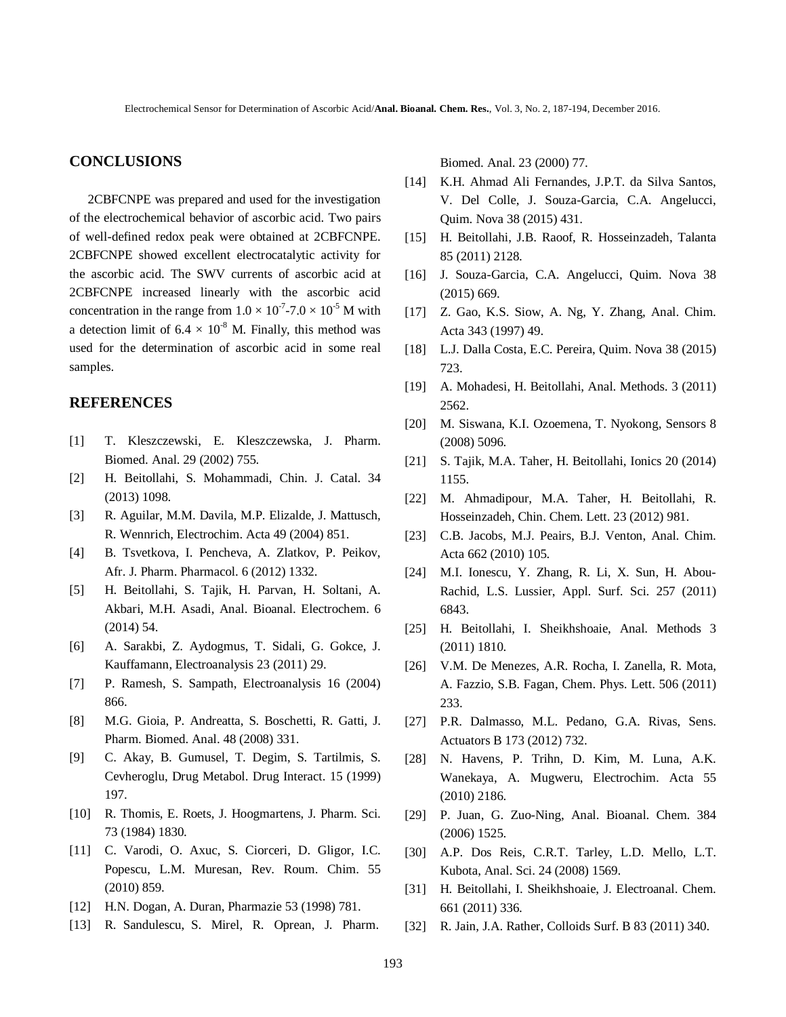## **CONCLUSIONS**

2CBFCNPE was prepared and used for the investigation of the electrochemical behavior of ascorbic acid. Two pairs of well-defined redox peak were obtained at 2CBFCNPE. 2CBFCNPE showed excellent electrocatalytic activity for the ascorbic acid. The SWV currents of ascorbic acid at 2CBFCNPE increased linearly with the ascorbic acid concentration in the range from  $1.0 \times 10^{-7}$ -7.0  $\times 10^{-5}$  M with a detection limit of  $6.4 \times 10^{-8}$  M. Finally, this method was used for the determination of ascorbic acid in some real samples.

## **REFERENCES**

- [1] T. Kleszczewski, E. Kleszczewska, J. Pharm. Biomed. Anal. 29 (2002) 755.
- [2] H. Beitollahi, S. Mohammadi, Chin. J. Catal. 34 (2013) 1098.
- [3] R. Aguilar, M.M. Davila, M.P. Elizalde, J. Mattusch, R. Wennrich, Electrochim. Acta 49 (2004) 851.
- [4] B. Tsvetkova, I. Pencheva, A. Zlatkov, P. Peikov, Afr. J. Pharm. Pharmacol. 6 (2012) 1332.
- [5] H. Beitollahi, S. Tajik, H. Parvan, H. Soltani, A. Akbari, M.H. Asadi, Anal. Bioanal. Electrochem. 6 (2014) 54.
- [6] A. Sarakbi, Z. Aydogmus, T. Sidali, G. Gokce, J. Kauffamann, Electroanalysis 23 (2011) 29.
- [7] P. Ramesh, S. Sampath, Electroanalysis 16 (2004) 866.
- [8] M.G. Gioia, P. Andreatta, S. Boschetti, R. Gatti, J. Pharm. Biomed. Anal. 48 (2008) 331.
- [9] C. Akay, B. Gumusel, T. Degim, S. Tartilmis, S. Cevheroglu, Drug Metabol. Drug Interact. 15 (1999) 197.
- [10] R. Thomis, E. Roets, J. Hoogmartens, J. Pharm. Sci. 73 (1984) 1830.
- [11] C. Varodi, O. Axuc, S. Ciorceri, D. Gligor, I.C. Popescu, L.M. Muresan, Rev. Roum. Chim. 55 (2010) 859.
- [12] H.N. Dogan, A. Duran, Pharmazie 53 (1998) 781.
- [13] R. Sandulescu, S. Mirel, R. Oprean, J. Pharm.

Biomed. Anal. 23 (2000) 77.

- [14] K.H. Ahmad Ali Fernandes, J.P.T. da Silva Santos, V. Del Colle, J. Souza-Garcia, C.A. Angelucci, Quim. Nova 38 (2015) 431.
- [15] H. Beitollahi, J.B. Raoof, R. Hosseinzadeh, Talanta 85 (2011) 2128.
- [16] J. Souza-Garcia, C.A. Angelucci, Quim. Nova 38 (2015) 669.
- [17] Z. Gao, K.S. Siow, A. Ng, Y. Zhang, Anal. Chim. Acta 343 (1997) 49.
- [18] L.J. Dalla Costa, E.C. Pereira, Quim. Nova 38 (2015) 723.
- [19] A. Mohadesi, H. Beitollahi, Anal. Methods. 3 (2011) 2562.
- [20] M. Siswana, K.I. Ozoemena, T. Nyokong, Sensors 8 (2008) 5096.
- [21] S. Tajik, M.A. Taher, H. Beitollahi, Ionics 20 (2014) 1155.
- [22] M. Ahmadipour, M.A. Taher, H. Beitollahi, R. Hosseinzadeh, Chin. Chem. Lett. 23 (2012) 981.
- [23] C.B. Jacobs, M.J. Peairs, B.J. Venton, Anal. Chim. Acta 662 (2010) 105.
- [24] M.I. Ionescu, Y. Zhang, R. Li, X. Sun, H. Abou-Rachid, L.S. Lussier, Appl. Surf. Sci. 257 (2011) 6843.
- [25] H. Beitollahi, I. Sheikhshoaie, Anal. Methods 3 (2011) 1810.
- [26] V.M. De Menezes, A.R. Rocha, I. Zanella, R. Mota, A. Fazzio, S.B. Fagan, Chem. Phys. Lett. 506 (2011) 233.
- [27] P.R. Dalmasso, M.L. Pedano, G.A. Rivas, Sens. Actuators B 173 (2012) 732.
- [28] N. Havens, P. Trihn, D. Kim, M. Luna, A.K. Wanekaya, A. Mugweru, Electrochim. Acta 55 (2010) 2186.
- [29] P. Juan, G. Zuo-Ning, Anal. Bioanal. Chem. 384 (2006) 1525.
- [30] A.P. Dos Reis, C.R.T. Tarley, L.D. Mello, L.T. Kubota, Anal. Sci. 24 (2008) 1569.
- [31] H. Beitollahi, I. Sheikhshoaie, J. Electroanal. Chem. 661 (2011) 336.
- [32] R. Jain, J.A. Rather, Colloids Surf. B 83 (2011) 340.